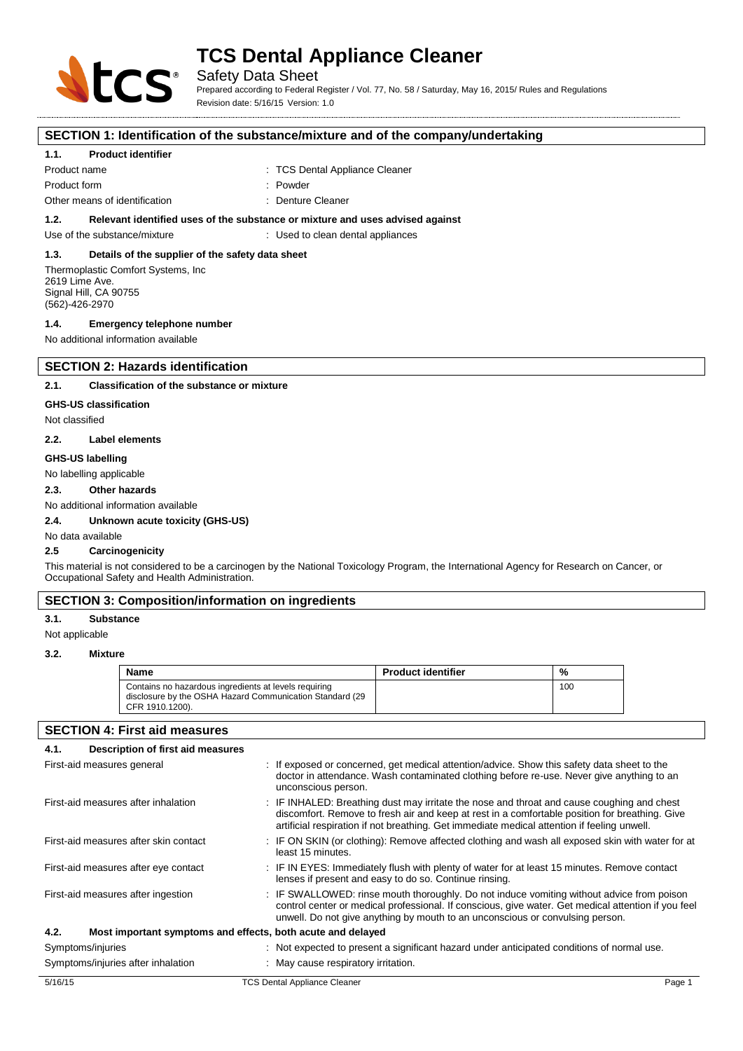

Safety Data Sheet

Prepared according to Federal Register / Vol. 77, No. 58 / Saturday, May 16, 2015/ Rules and Regulations Revision date: 5/16/15 Version: 1.0

#### **SECTION 1: Identification of the substance/mixture and of the company/undertaking**

#### **1.1. Product identifier**

Product name **in the case of the Cleaner** of the TCS Dental Appliance Cleaner Product form  $\qquad \qquad : \qquad$  Powder Other means of identification **in the Cleaner** : Denture Cleaner

**1.2. Relevant identified uses of the substance or mixture and uses advised against**

Use of the substance/mixture : Used to clean dental appliances

# **1.3. Details of the supplier of the safety data sheet**

Thermoplastic Comfort Systems, Inc 2619 Lime Ave. Signal Hill, CA 90755 (562)-426-2970

#### **1.4. Emergency telephone number**

No additional information available

# **SECTION 2: Hazards identification**

#### **2.1. Classification of the substance or mixture**

#### **GHS-US classification**

Not classified

#### **2.2. Label elements**

#### **GHS-US labelling**

No labelling applicable

#### **2.3. Other hazards**

No additional information available

#### **2.4. Unknown acute toxicity (GHS-US)**

No data available

#### **2.5 Carcinogenicity**

This material is not considered to be a carcinogen by the National Toxicology Program, the International Agency for Research on Cancer, or Occupational Safety and Health Administration.

# **SECTION 3: Composition/information on ingredients**

#### **3.1. Substance**

Not applicable

#### **3.2. Mixture**

| Name                                                                                                                                 | <b>Product identifier</b> | %   |
|--------------------------------------------------------------------------------------------------------------------------------------|---------------------------|-----|
| Contains no hazardous ingredients at levels requiring<br>disclosure by the OSHA Hazard Communication Standard (29<br>CFR 1910.1200). |                           | 100 |

#### **SECTION 4: First aid measures**

| Description of first aid measures<br>4.1.                           |                                                                                                                                                                                                                                                                                             |        |
|---------------------------------------------------------------------|---------------------------------------------------------------------------------------------------------------------------------------------------------------------------------------------------------------------------------------------------------------------------------------------|--------|
| First-aid measures general                                          | : If exposed or concerned, get medical attention/advice. Show this safety data sheet to the<br>doctor in attendance. Wash contaminated clothing before re-use. Never give anything to an<br>unconscious person.                                                                             |        |
| First-aid measures after inhalation                                 | : IF INHALED: Breathing dust may irritate the nose and throat and cause coughing and chest<br>discomfort. Remove to fresh air and keep at rest in a comfortable position for breathing. Give<br>artificial respiration if not breathing. Get immediate medical attention if feeling unwell. |        |
| First-aid measures after skin contact                               | : IF ON SKIN (or clothing): Remove affected clothing and wash all exposed skin with water for at<br>least 15 minutes.                                                                                                                                                                       |        |
| First-aid measures after eye contact                                | : IF IN EYES: Immediately flush with plenty of water for at least 15 minutes. Remove contact<br>lenses if present and easy to do so. Continue rinsing.                                                                                                                                      |        |
| First-aid measures after ingestion                                  | : IF SWALLOWED: rinse mouth thoroughly. Do not induce vomiting without advice from poison<br>control center or medical professional. If conscious, give water. Get medical attention if you feel<br>unwell. Do not give anything by mouth to an unconscious or convulsing person.           |        |
| 4.2.<br>Most important symptoms and effects, both acute and delayed |                                                                                                                                                                                                                                                                                             |        |
| Symptoms/injuries                                                   | : Not expected to present a significant hazard under anticipated conditions of normal use.                                                                                                                                                                                                  |        |
| Symptoms/injuries after inhalation                                  | : May cause respiratory irritation.                                                                                                                                                                                                                                                         |        |
| 5/16/15                                                             | <b>TCS Dental Appliance Cleaner</b>                                                                                                                                                                                                                                                         | Page 1 |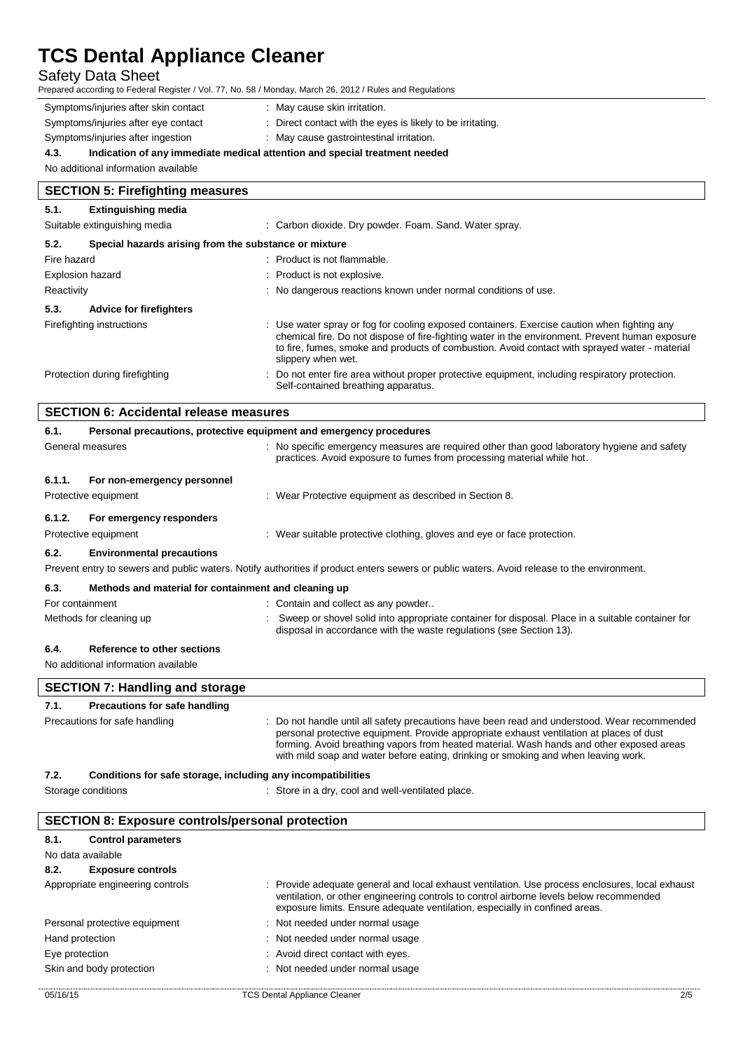# Safety Data Sheet

| Safety Data Sheet<br>Prepared according to Federal Register / Vol. 77, No. 58 / Monday, March 26, 2012 / Rules and Regulations |                                                                                                                                                                                                                                                                                                                     |
|--------------------------------------------------------------------------------------------------------------------------------|---------------------------------------------------------------------------------------------------------------------------------------------------------------------------------------------------------------------------------------------------------------------------------------------------------------------|
| Symptoms/injuries after skin contact                                                                                           | : May cause skin irritation.                                                                                                                                                                                                                                                                                        |
| Symptoms/injuries after eye contact                                                                                            | : Direct contact with the eyes is likely to be irritating.                                                                                                                                                                                                                                                          |
| Symptoms/injuries after ingestion                                                                                              | : May cause gastrointestinal irritation.                                                                                                                                                                                                                                                                            |
| 4.3.                                                                                                                           | Indication of any immediate medical attention and special treatment needed                                                                                                                                                                                                                                          |
| No additional information available                                                                                            |                                                                                                                                                                                                                                                                                                                     |
| <b>SECTION 5: Firefighting measures</b>                                                                                        |                                                                                                                                                                                                                                                                                                                     |
| 5.1.<br><b>Extinguishing media</b>                                                                                             |                                                                                                                                                                                                                                                                                                                     |
| Suitable extinguishing media                                                                                                   | : Carbon dioxide. Dry powder. Foam. Sand. Water spray.                                                                                                                                                                                                                                                              |
| 5.2.<br>Special hazards arising from the substance or mixture                                                                  |                                                                                                                                                                                                                                                                                                                     |
| Fire hazard                                                                                                                    | : Product is not flammable.                                                                                                                                                                                                                                                                                         |
| <b>Explosion hazard</b>                                                                                                        | Product is not explosive.                                                                                                                                                                                                                                                                                           |
| Reactivity                                                                                                                     | : No dangerous reactions known under normal conditions of use.                                                                                                                                                                                                                                                      |
| 5.3.<br><b>Advice for firefighters</b>                                                                                         |                                                                                                                                                                                                                                                                                                                     |
| Firefighting instructions                                                                                                      | Use water spray or fog for cooling exposed containers. Exercise caution when fighting any<br>chemical fire. Do not dispose of fire-fighting water in the environment. Prevent human exposure<br>to fire, fumes, smoke and products of combustion. Avoid contact with sprayed water - material<br>slippery when wet. |
| Protection during firefighting                                                                                                 | Do not enter fire area without proper protective equipment, including respiratory protection.<br>Self-contained breathing apparatus.                                                                                                                                                                                |
| <b>SECTION 6: Accidental release measures</b>                                                                                  |                                                                                                                                                                                                                                                                                                                     |
| 6.1.                                                                                                                           | Personal precautions, protective equipment and emergency procedures                                                                                                                                                                                                                                                 |
| General measures                                                                                                               | No specific emergency measures are required other than good laboratory hygiene and safety<br>practices. Avoid exposure to fumes from processing material while hot.                                                                                                                                                 |
| 6.1.1.<br>For non-emergency personnel                                                                                          |                                                                                                                                                                                                                                                                                                                     |
| Protective equipment                                                                                                           | : Wear Protective equipment as described in Section 8.                                                                                                                                                                                                                                                              |
| 6.1.2.<br>For emergency responders                                                                                             |                                                                                                                                                                                                                                                                                                                     |
| Protective equipment                                                                                                           | : Wear suitable protective clothing, gloves and eye or face protection.                                                                                                                                                                                                                                             |
| 6.2.<br><b>Environmental precautions</b>                                                                                       |                                                                                                                                                                                                                                                                                                                     |
|                                                                                                                                | Prevent entry to sewers and public waters. Notify authorities if product enters sewers or public waters. Avoid release to the environment.                                                                                                                                                                          |
|                                                                                                                                |                                                                                                                                                                                                                                                                                                                     |
| 6.3.<br>Methods and material for containment and cleaning up                                                                   |                                                                                                                                                                                                                                                                                                                     |
| For containment<br>Methods for cleaning up                                                                                     | Contain and collect as any powder<br>Sweep or shovel solid into appropriate container for disposal. Place in a suitable container for                                                                                                                                                                               |
|                                                                                                                                | disposal in accordance with the waste regulations (see Section 13).                                                                                                                                                                                                                                                 |
| 6.4.<br>Reference to other sections                                                                                            |                                                                                                                                                                                                                                                                                                                     |
| No additional information available                                                                                            |                                                                                                                                                                                                                                                                                                                     |
| <b>SECTION 7: Handling and storage</b>                                                                                         |                                                                                                                                                                                                                                                                                                                     |
| 7.1.<br><b>Precautions for safe handling</b>                                                                                   |                                                                                                                                                                                                                                                                                                                     |
| Precautions for safe handling                                                                                                  | : Do not handle until all safety precautions have been read and understood. Wear recommended                                                                                                                                                                                                                        |
|                                                                                                                                | personal protective equipment. Provide appropriate exhaust ventilation at places of dust<br>forming. Avoid breathing vapors from heated material. Wash hands and other exposed areas<br>with mild soap and water before eating, drinking or smoking and when leaving work.                                          |
| 7.2.<br>Conditions for safe storage, including any incompatibilities                                                           |                                                                                                                                                                                                                                                                                                                     |
| Storage conditions                                                                                                             | : Store in a dry, cool and well-ventilated place.                                                                                                                                                                                                                                                                   |
| <b>SECTION 8: Exposure controls/personal protection</b>                                                                        |                                                                                                                                                                                                                                                                                                                     |
| 8.1.<br><b>Control parameters</b>                                                                                              |                                                                                                                                                                                                                                                                                                                     |
| No data available                                                                                                              |                                                                                                                                                                                                                                                                                                                     |
| 8.2.<br><b>Exposure controls</b>                                                                                               |                                                                                                                                                                                                                                                                                                                     |
| Appropriate engineering controls                                                                                               | : Provide adequate general and local exhaust ventilation. Use process enclosures, local exhaust<br>ventilation, or other engineering controls to control airborne levels below recommended                                                                                                                          |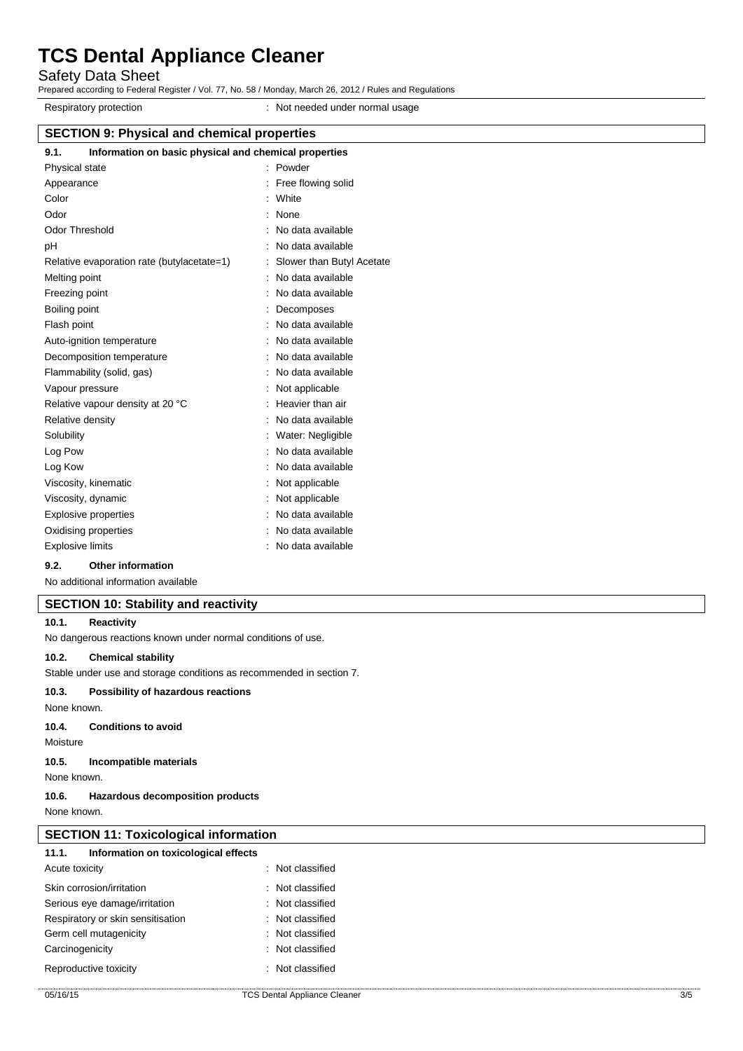Safety Data Sheet

Prepared according to Federal Register / Vol. 77, No. 58 / Monday, March 26, 2012 / Rules and Regulations

Respiratory protection **in the set of the set of the Respiratory protection**  $\cdot$  Not needed under normal usage

| <b>SECTION 9: Physical and chemical properties</b> |                                                       |  |  |
|----------------------------------------------------|-------------------------------------------------------|--|--|
| 9.1.                                               | Information on basic physical and chemical properties |  |  |
| Physical state                                     | : Powder                                              |  |  |
| Appearance                                         | : Free flowing solid                                  |  |  |
| Color                                              | : White                                               |  |  |
| Odor                                               | : None                                                |  |  |
| <b>Odor Threshold</b>                              | : No data available                                   |  |  |
| рH                                                 | : No data available                                   |  |  |
| Relative evaporation rate (butylacetate=1)         | : Slower than Butyl Acetate                           |  |  |
| Melting point                                      | : No data available                                   |  |  |
| Freezing point                                     | : No data available                                   |  |  |
| Boiling point                                      | Decomposes                                            |  |  |
| Flash point                                        | : No data available                                   |  |  |
| Auto-ignition temperature                          | : No data available                                   |  |  |
| Decomposition temperature                          | : No data available                                   |  |  |
| Flammability (solid, gas)                          | : No data available                                   |  |  |
| Vapour pressure                                    | : Not applicable                                      |  |  |
| Relative vapour density at 20 °C                   | : Heavier than air                                    |  |  |
| Relative density                                   | : No data available                                   |  |  |
| Solubility                                         | Water: Negligible                                     |  |  |
| Log Pow                                            | : No data available                                   |  |  |
| Log Kow                                            | : No data available                                   |  |  |

Viscosity, kinematic **intervalse in the Contract Contract Contract Contract Contract Contract Contract Contract Contract Contract Contract Contract Contract Contract Contract Contract Contract Contract Contract Contract Co** 

Viscosity, dynamic intervals of the state of the SNs of the Viscosity, dynamic

Explosive properties in the state of the state of the September 2011 in the September 2012 in the September 201 Oxidising properties **in the contract of the Contract August** 2012 : No data available

Explosive limits **Explosive Limits Explosive Limits Explosive Limits Explosive Limits EXPLOSIVE 2018** 

## **9.2. Other information**

No additional information available

## **SECTION 10: Stability and reactivity**

#### **10.1. Reactivity**

No dangerous reactions known under normal conditions of use.

#### **10.2. Chemical stability**

Stable under use and storage conditions as recommended in section 7.

#### **10.3. Possibility of hazardous reactions**

None known.

**10.4. Conditions to avoid**

Moisture

**10.5. Incompatible materials**

None known.

#### **10.6. Hazardous decomposition products**

None known.

### **SECTION 11: Toxicological information**

| 11.1.                             | Information on toxicological effects |                             |
|-----------------------------------|--------------------------------------|-----------------------------|
| Acute toxicity                    |                                      | $\therefore$ Not classified |
|                                   | Skin corrosion/irritation            | $\therefore$ Not classified |
| Serious eye damage/irritation     |                                      | $\therefore$ Not classified |
| Respiratory or skin sensitisation |                                      | $\therefore$ Not classified |
| Germ cell mutagenicity            |                                      | $\therefore$ Not classified |
| Carcinogenicity                   |                                      | $\therefore$ Not classified |
| Reproductive toxicity             |                                      | $\therefore$ Not classified |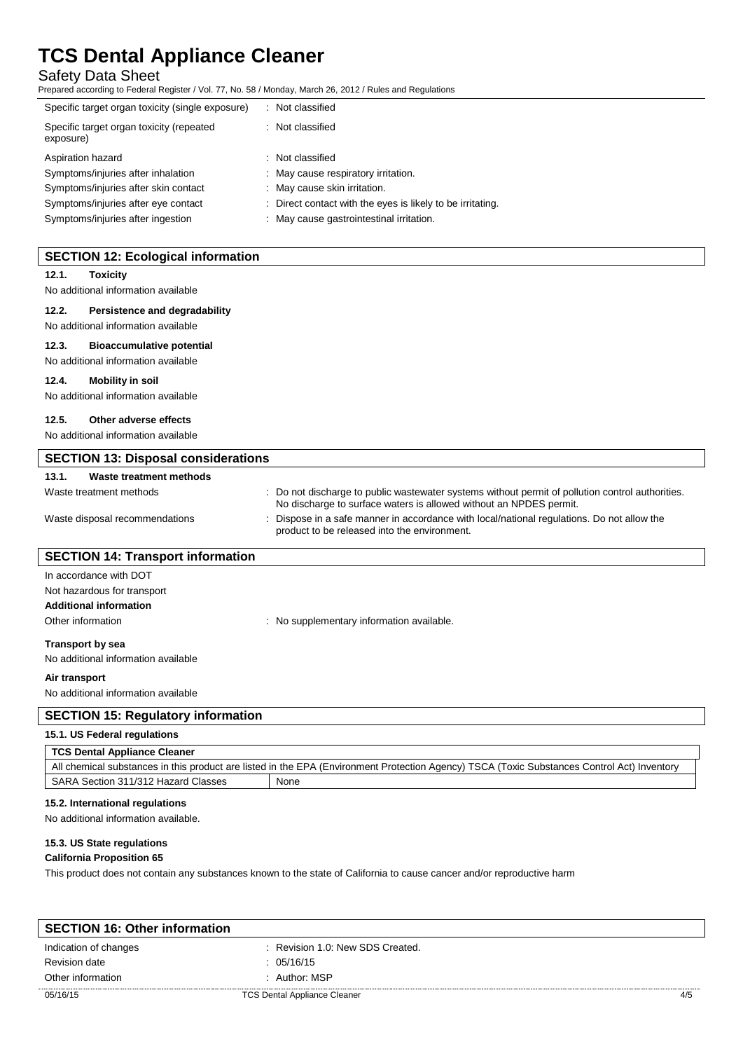# Safety Data Sheet

Prepared according to Federal Register / Vol. 77, No. 58 / Monday, March 26, 2012 / Rules and Regulations

| Specific target organ toxicity (single exposure)      | Not classified                                             |  |
|-------------------------------------------------------|------------------------------------------------------------|--|
| Specific target organ toxicity (repeated<br>exposure) | : Not classified                                           |  |
| Aspiration hazard                                     | : Not classified                                           |  |
| Symptoms/injuries after inhalation                    | May cause respiratory irritation.                          |  |
| Symptoms/injuries after skin contact                  | : May cause skin irritation.                               |  |
| Symptoms/injuries after eye contact                   | : Direct contact with the eyes is likely to be irritating. |  |
| Symptoms/injuries after ingestion                     | May cause gastrointestinal irritation.                     |  |

| <b>SECTION 12: Ecological information</b>  |                                                                                                                                                                        |
|--------------------------------------------|------------------------------------------------------------------------------------------------------------------------------------------------------------------------|
| 12.1.<br><b>Toxicity</b>                   |                                                                                                                                                                        |
| No additional information available        |                                                                                                                                                                        |
| 12.2.<br>Persistence and degradability     |                                                                                                                                                                        |
| No additional information available        |                                                                                                                                                                        |
| 12.3.<br><b>Bioaccumulative potential</b>  |                                                                                                                                                                        |
| No additional information available        |                                                                                                                                                                        |
| 12.4.<br><b>Mobility in soil</b>           |                                                                                                                                                                        |
| No additional information available        |                                                                                                                                                                        |
| 12.5.<br>Other adverse effects             |                                                                                                                                                                        |
| No additional information available        |                                                                                                                                                                        |
|                                            |                                                                                                                                                                        |
| <b>SECTION 13: Disposal considerations</b> |                                                                                                                                                                        |
| 13.1.<br><b>Waste treatment methods</b>    |                                                                                                                                                                        |
| Waste treatment methods                    | : Do not discharge to public wastewater systems without permit of pollution control authorities.<br>No discharge to surface waters is allowed without an NPDES permit. |
| Waste disposal recommendations             | Dispose in a safe manner in accordance with local/national regulations. Do not allow the<br>product to be released into the environment.                               |
| <b>SECTION 14: Transport information</b>   |                                                                                                                                                                        |
| In accordance with DOT                     |                                                                                                                                                                        |
| Not hazardous for transport                |                                                                                                                                                                        |
| <b>Additional information</b>              |                                                                                                                                                                        |
| Other information                          | : No supplementary information available.                                                                                                                              |
| <b>Transport by sea</b>                    |                                                                                                                                                                        |
| No additional information available        |                                                                                                                                                                        |
| Air transport                              |                                                                                                                                                                        |
| No additional information available        |                                                                                                                                                                        |
| <b>SECTION 15: Regulatory information</b>  |                                                                                                                                                                        |
| 15.1. US Federal regulations               |                                                                                                                                                                        |
| <b>TCS Dental Appliance Cleaner</b>        |                                                                                                                                                                        |
|                                            | All chemical substances in this product are listed in the EPA (Environment Protection Agency) TSCA (Toxic Substances Control Act) Inventory                            |
| SARA Section 311/312 Hazard Classes        | None                                                                                                                                                                   |
| 15.2. International regulations            |                                                                                                                                                                        |
| No additional information available.       |                                                                                                                                                                        |
|                                            |                                                                                                                                                                        |
| 15.3. US State regulations                 |                                                                                                                                                                        |
| <b>California Proposition 65</b>           |                                                                                                                                                                        |
|                                            | This product does not contain any substances known to the state of California to cause cancer and/or reproductive harm                                                 |

| <b>SECTION 16: Other information</b> |                                     |     |
|--------------------------------------|-------------------------------------|-----|
| Indication of changes                | : Revision 1.0: New SDS Created.    |     |
| Revision date                        | : 05/16/15                          |     |
| Other information                    | : Author: MSP                       |     |
| 05/16/15                             | <b>TCS Dental Appliance Cleaner</b> | 4/5 |